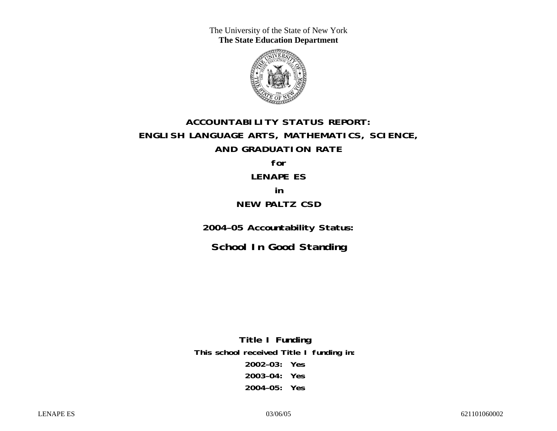The University of the State of New York **The State Education Department** 



# **ACCOUNTABILITY STATUS REPORT: ENGLISH LANGUAGE ARTS, MATHEMATICS, SCIENCE, AND GRADUATION RATE for**

# **LENAPE ES**

### **in**

# **NEW PALTZ CSD**

**2004–05 Accountability Status:** 

**School In Good Standing** 

**Title I Funding This school received Title I funding in: 2002–03: Yes 2003–04: Yes 2004–05: Yes**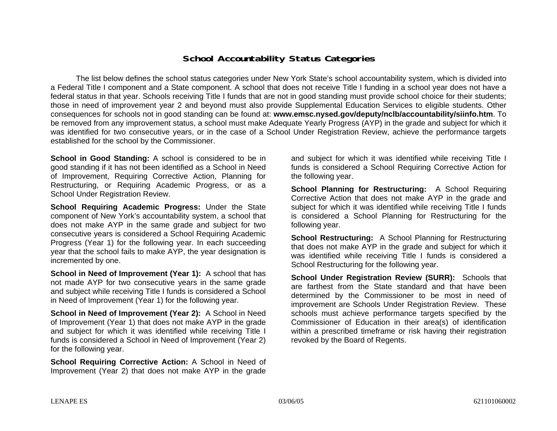### **School Accountability Status Categories**

The list below defines the school status categories under New York State's school accountability system, which is divided into a Federal Title I component and a State component. A school that does not receive Title I funding in a school year does not have a federal status in that year. Schools receiving Title I funds that are not in good standing must provide school choice for their students; those in need of improvement year 2 and beyond must also provide Supplemental Education Services to eligible students. Other consequences for schools not in good standing can be found at: **www.emsc.nysed.gov/deputy/nclb/accountability/siinfo.htm**. To be removed from any improvement status, a school must make Adequate Yearly Progress (AYP) in the grade and subject for which it was identified for two consecutive years, or in the case of a School Under Registration Review, achieve the performance targets established for the school by the Commissioner.

**School in Good Standing:** A school is considered to be in good standing if it has not been identified as a School in Need of Improvement, Requiring Corrective Action, Planning for Restructuring, or Requiring Academic Progress, or as a School Under Registration Review.

**School Requiring Academic Progress:** Under the State component of New York's accountability system, a school that does not make AYP in the same grade and subject for two consecutive years is considered a School Requiring Academic Progress (Year 1) for the following year. In each succeeding year that the school fails to make AYP, the year designation is incremented by one.

**School in Need of Improvement (Year 1):** A school that has not made AYP for two consecutive years in the same grade and subject while receiving Title I funds is considered a School in Need of Improvement (Year 1) for the following year.

**School in Need of Improvement (Year 2):** A School in Need of Improvement (Year 1) that does not make AYP in the grade and subject for which it was identified while receiving Title I funds is considered a School in Need of Improvement (Year 2) for the following year.

**School Requiring Corrective Action:** A School in Need of Improvement (Year 2) that does not make AYP in the grade

and subject for which it was identified while receiving Title I funds is considered a School Requiring Corrective Action for the following year.

**School Planning for Restructuring:** A School Requiring Corrective Action that does not make AYP in the grade and subject for which it was identified while receiving Title I funds is considered a School Planning for Restructuring for the following year.

**School Restructuring:** A School Planning for Restructuring that does not make AYP in the grade and subject for which it was identified while receiving Title I funds is considered a School Restructuring for the following year.

**School Under Registration Review (SURR):** Schools that are farthest from the State standard and that have been determined by the Commissioner to be most in need of improvement are Schools Under Registration Review. These schools must achieve performance targets specified by the Commissioner of Education in their area(s) of identification within a prescribed timeframe or risk having their registration revoked by the Board of Regents.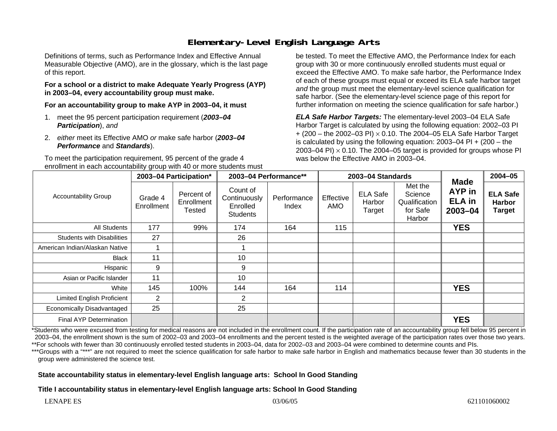# **Elementary-Level English Language Arts**

Definitions of terms, such as Performance Index and Effective Annual Measurable Objective (AMO), are in the glossary, which is the last page of this report.

#### **For a school or a district to make Adequate Yearly Progress (AYP) in 2003–04, every accountability group must make.**

**For an accountability group to make AYP in 2003–04, it must** 

- 1. meet the 95 percent participation requirement (*2003–04 Participation*), *and*
- 2. *either* meet its Effective AMO *or* make safe harbor (*2003–04 Performance* and *Standards*).

To meet the participation requirement, 95 percent of the grade 4 enrollment in each accountability group with 40 or more students must be tested. To meet the Effective AMO, the Performance Index for each group with 30 or more continuously enrolled students must equal or exceed the Effective AMO. To make safe harbor, the Performance Index of each of these groups must equal or exceed its ELA safe harbor target *and* the group must meet the elementary-level science qualification for safe harbor. (See the elementary-level science page of this report for further information on meeting the science qualification for safe harbor.)

*ELA Safe Harbor Targets:* The elementary-level 2003–04 ELA Safe Harbor Target is calculated by using the following equation: 2002–03 PI + (200 – the 2002–03 PI) <sup>×</sup> 0.10. The 2004–05 ELA Safe Harbor Target is calculated by using the following equation: 2003–04 PI + (200 – the 2003–04 PI)  $\times$  0.10. The 2004–05 target is provided for groups whose PI was below the Effective AMO in 2003–04.

| <b>Accountability Group</b>       | 2003-04 Participation* |                                    | 2003-04 Performance**                                   |                      | 2003-04 Standards       |                                     |                                                           |                                                              | $2004 - 05$                                       |
|-----------------------------------|------------------------|------------------------------------|---------------------------------------------------------|----------------------|-------------------------|-------------------------------------|-----------------------------------------------------------|--------------------------------------------------------------|---------------------------------------------------|
|                                   | Grade 4<br>Enrollment  | Percent of<br>Enrollment<br>Tested | Count of<br>Continuously<br>Enrolled<br><b>Students</b> | Performance<br>Index | Effective<br><b>AMO</b> | <b>ELA Safe</b><br>Harbor<br>Target | Met the<br>Science<br>Qualification<br>for Safe<br>Harbor | <b>Made</b><br><b>AYP</b> in<br><b>ELA</b> in<br>$2003 - 04$ | <b>ELA Safe</b><br><b>Harbor</b><br><b>Target</b> |
| All Students                      | 177                    | 99%                                | 174                                                     | 164                  | 115                     |                                     |                                                           | <b>YES</b>                                                   |                                                   |
| <b>Students with Disabilities</b> | 27                     |                                    | 26                                                      |                      |                         |                                     |                                                           |                                                              |                                                   |
| American Indian/Alaskan Native    |                        |                                    |                                                         |                      |                         |                                     |                                                           |                                                              |                                                   |
| <b>Black</b>                      | 11                     |                                    | 10                                                      |                      |                         |                                     |                                                           |                                                              |                                                   |
| Hispanic                          | 9                      |                                    | 9                                                       |                      |                         |                                     |                                                           |                                                              |                                                   |
| Asian or Pacific Islander         | 11                     |                                    | 10                                                      |                      |                         |                                     |                                                           |                                                              |                                                   |
| White                             | 145                    | 100%                               | 144                                                     | 164                  | 114                     |                                     |                                                           | <b>YES</b>                                                   |                                                   |
| <b>Limited English Proficient</b> | $\overline{2}$         |                                    | $\overline{2}$                                          |                      |                         |                                     |                                                           |                                                              |                                                   |
| Economically Disadvantaged        | 25                     |                                    | 25                                                      |                      |                         |                                     |                                                           |                                                              |                                                   |
| <b>Final AYP Determination</b>    |                        |                                    |                                                         |                      |                         |                                     |                                                           | <b>YES</b>                                                   |                                                   |

\*Students who were excused from testing for medical reasons are not included in the enrollment count. If the participation rate of an accountability group fell below 95 percent in 2003–04, the enrollment shown is the sum of 2002–03 and 2003–04 enrollments and the percent tested is the weighted average of the participation rates over those two years. \*\*For schools with fewer than 30 continuously enrolled tested students in 2003–04, data for 2002–03 and 2003–04 were combined to determine counts and PIs.

\*\*\*Groups with a "\*\*\*" are not required to meet the science qualification for safe harbor to make safe harbor in English and mathematics because fewer than 30 students in the group were administered the science test.

#### **State accountability status in elementary-level English language arts: School In Good Standing**

**Title I accountability status in elementary-level English language arts: School In Good Standing**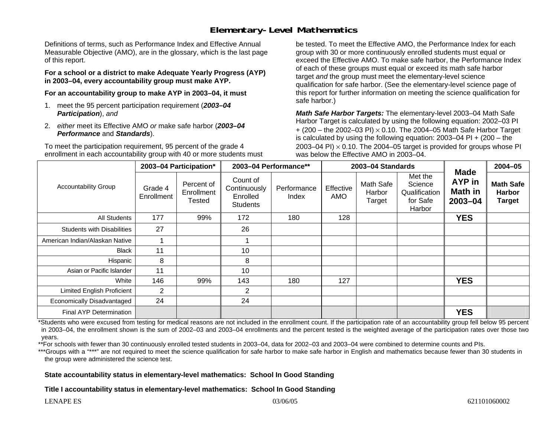### **Elementary-Level Mathematics**

Definitions of terms, such as Performance Index and Effective Annual Measurable Objective (AMO), are in the glossary, which is the last page of this report.

**For a school or a district to make Adequate Yearly Progress (AYP) in 2003–04, every accountability group must make AYP.** 

**For an accountability group to make AYP in 2003–04, it must** 

- 1. meet the 95 percent participation requirement (*2003–04 Participation*), *and*
- 2. *either* meet its Effective AMO *or* make safe harbor (*2003–04 Performance* and *Standards*).

To meet the participation requirement, 95 percent of the grade 4 enrollment in each accountability group with 40 or more students must be tested. To meet the Effective AMO, the Performance Index for each group with 30 or more continuously enrolled students must equal or exceed the Effective AMO. To make safe harbor, the Performance Index of each of these groups must equal or exceed its math safe harbor target *and* the group must meet the elementary-level science qualification for safe harbor. (See the elementary-level science page of this report for further information on meeting the science qualification for safe harbor.)

*Math Safe Harbor Targets:* The elementary-level 2003–04 Math Safe Harbor Target is calculated by using the following equation: 2002–03 PI + (200 – the 2002–03 PI) <sup>×</sup> 0.10. The 2004–05 Math Safe Harbor Target is calculated by using the following equation: 2003–04 PI + (200 – the 2003–04 PI)  $\times$  0.10. The 2004–05 target is provided for groups whose PI was below the Effective AMO in 2003–04.

| <b>Accountability Group</b>       | 2003-04 Participation* |                                    | 2003-04 Performance**                                   |                      | 2003-04 Standards |                               |                                                           |                                                        | 2004-05                                            |
|-----------------------------------|------------------------|------------------------------------|---------------------------------------------------------|----------------------|-------------------|-------------------------------|-----------------------------------------------------------|--------------------------------------------------------|----------------------------------------------------|
|                                   | Grade 4<br>Enrollment  | Percent of<br>Enrollment<br>Tested | Count of<br>Continuously<br>Enrolled<br><b>Students</b> | Performance<br>Index | Effective<br>AMO  | Math Safe<br>Harbor<br>Target | Met the<br>Science<br>Qualification<br>for Safe<br>Harbor | <b>Made</b><br><b>AYP</b> in<br>Math in<br>$2003 - 04$ | <b>Math Safe</b><br><b>Harbor</b><br><b>Target</b> |
| All Students                      | 177                    | 99%                                | 172                                                     | 180                  | 128               |                               |                                                           | <b>YES</b>                                             |                                                    |
| <b>Students with Disabilities</b> | 27                     |                                    | 26                                                      |                      |                   |                               |                                                           |                                                        |                                                    |
| American Indian/Alaskan Native    |                        |                                    |                                                         |                      |                   |                               |                                                           |                                                        |                                                    |
| <b>Black</b>                      | 11                     |                                    | 10                                                      |                      |                   |                               |                                                           |                                                        |                                                    |
| Hispanic                          | 8                      |                                    | 8                                                       |                      |                   |                               |                                                           |                                                        |                                                    |
| Asian or Pacific Islander         | 11                     |                                    | 10                                                      |                      |                   |                               |                                                           |                                                        |                                                    |
| White                             | 146                    | 99%                                | 143                                                     | 180                  | 127               |                               |                                                           | <b>YES</b>                                             |                                                    |
| <b>Limited English Proficient</b> | $\overline{2}$         |                                    | 2                                                       |                      |                   |                               |                                                           |                                                        |                                                    |
| Economically Disadvantaged        | 24                     |                                    | 24                                                      |                      |                   |                               |                                                           |                                                        |                                                    |
| <b>Final AYP Determination</b>    |                        |                                    |                                                         |                      |                   |                               |                                                           | <b>YES</b>                                             |                                                    |

\*Students who were excused from testing for medical reasons are not included in the enrollment count. If the participation rate of an accountability group fell below 95 percent in 2003–04, the enrollment shown is the sum of 2002–03 and 2003–04 enrollments and the percent tested is the weighted average of the participation rates over those two years.

\*\*For schools with fewer than 30 continuously enrolled tested students in 2003–04, data for 2002–03 and 2003–04 were combined to determine counts and PIs.

\*\*\*Groups with a "\*\*\*" are not required to meet the science qualification for safe harbor to make safe harbor in English and mathematics because fewer than 30 students in the group were administered the science test.

#### **State accountability status in elementary-level mathematics: School In Good Standing**

**Title I accountability status in elementary-level mathematics: School In Good Standing**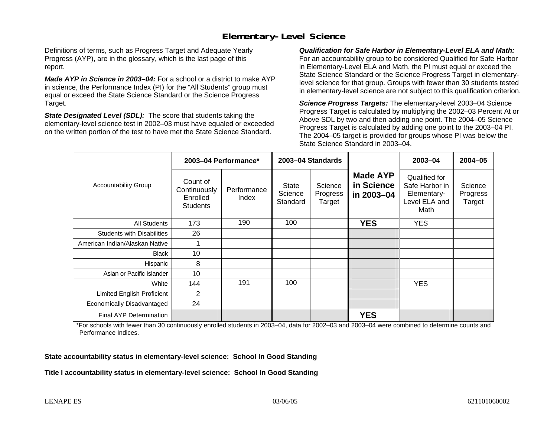# **Elementary-Level Science**

Definitions of terms, such as Progress Target and Adequate Yearly Progress (AYP), are in the glossary, which is the last page of this report.

*Made AYP in Science in 2003–04:* For a school or a district to make AYP in science, the Performance Index (PI) for the "All Students" group must equal or exceed the State Science Standard or the Science Progress Target.

*State Designated Level (SDL):* The score that students taking the elementary-level science test in 2002–03 must have equaled or exceeded on the written portion of the test to have met the State Science Standard.

*Qualification for Safe Harbor in Elementary-Level ELA and Math:* For an accountability group to be considered Qualified for Safe Harbor in Elementary-Level ELA and Math, the PI must equal or exceed the State Science Standard or the Science Progress Target in elementarylevel science for that group. Groups with fewer than 30 students tested in elementary-level science are not subject to this qualification criterion.

*Science Progress Targets:* The elementary-level 2003–04 Science Progress Target is calculated by multiplying the 2002–03 Percent At or Above SDL by two and then adding one point. The 2004–05 Science Progress Target is calculated by adding one point to the 2003–04 PI. The 2004–05 target is provided for groups whose PI was below the State Science Standard in 2003–04.

|                                   | 2003-04 Performance*                                    |                      | 2003-04 Standards                   |                               |                                             | 2003-04                                                                 | $2004 - 05$                   |
|-----------------------------------|---------------------------------------------------------|----------------------|-------------------------------------|-------------------------------|---------------------------------------------|-------------------------------------------------------------------------|-------------------------------|
| <b>Accountability Group</b>       | Count of<br>Continuously<br>Enrolled<br><b>Students</b> | Performance<br>Index | <b>State</b><br>Science<br>Standard | Science<br>Progress<br>Target | <b>Made AYP</b><br>in Science<br>in 2003-04 | Qualified for<br>Safe Harbor in<br>Elementary-<br>Level ELA and<br>Math | Science<br>Progress<br>Target |
| <b>All Students</b>               | 173                                                     | 190                  | 100                                 |                               | <b>YES</b>                                  | <b>YES</b>                                                              |                               |
| <b>Students with Disabilities</b> | 26                                                      |                      |                                     |                               |                                             |                                                                         |                               |
| American Indian/Alaskan Native    |                                                         |                      |                                     |                               |                                             |                                                                         |                               |
| <b>Black</b>                      | 10                                                      |                      |                                     |                               |                                             |                                                                         |                               |
| Hispanic                          | 8                                                       |                      |                                     |                               |                                             |                                                                         |                               |
| Asian or Pacific Islander         | 10                                                      |                      |                                     |                               |                                             |                                                                         |                               |
| White                             | 144                                                     | 191                  | 100                                 |                               |                                             | <b>YES</b>                                                              |                               |
| Limited English Proficient        | 2                                                       |                      |                                     |                               |                                             |                                                                         |                               |
| Economically Disadvantaged        | 24                                                      |                      |                                     |                               |                                             |                                                                         |                               |
| Final AYP Determination           |                                                         |                      |                                     |                               | <b>YES</b>                                  |                                                                         |                               |

\*For schools with fewer than 30 continuously enrolled students in 2003–04, data for 2002–03 and 2003–04 were combined to determine counts and Performance Indices.

**State accountability status in elementary-level science: School In Good Standing** 

**Title I accountability status in elementary-level science: School In Good Standing**